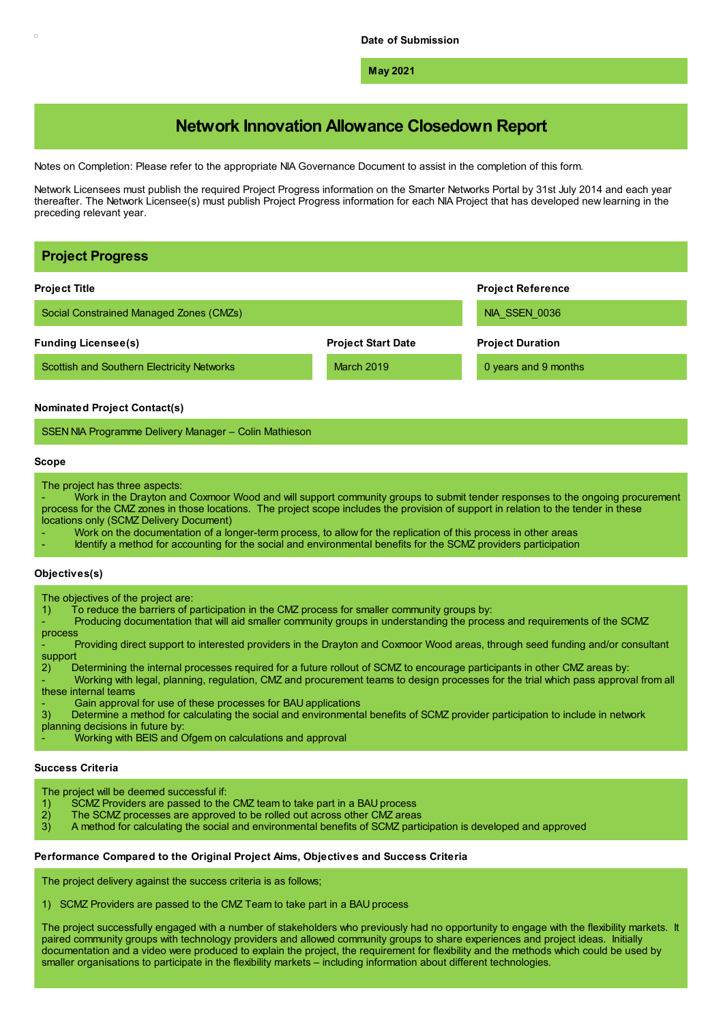**May 2021**

# **Network Innovation Allowance Closedown Report**

Notes on Completion: Please refer to the appropriate NIA Governance Document to assist in the completion of this form.

Network Licensees must publish the required Project Progress information on the Smarter Networks Portal by 31st July 2014 and each year thereafter. The Network Licensee(s) must publish Project Progress information for each NIA Project that has developed new learning in the preceding relevant year.

| <b>Project Progress</b>                                                                                                                                                                                                                                                                                                                                                                                                                                                                                                                                                                                                                                                                                                                                                                                                                                                                                                                                                                                                              |                           |                          |
|--------------------------------------------------------------------------------------------------------------------------------------------------------------------------------------------------------------------------------------------------------------------------------------------------------------------------------------------------------------------------------------------------------------------------------------------------------------------------------------------------------------------------------------------------------------------------------------------------------------------------------------------------------------------------------------------------------------------------------------------------------------------------------------------------------------------------------------------------------------------------------------------------------------------------------------------------------------------------------------------------------------------------------------|---------------------------|--------------------------|
| <b>Project Title</b>                                                                                                                                                                                                                                                                                                                                                                                                                                                                                                                                                                                                                                                                                                                                                                                                                                                                                                                                                                                                                 |                           | <b>Project Reference</b> |
| Social Constrained Managed Zones (CMZs)                                                                                                                                                                                                                                                                                                                                                                                                                                                                                                                                                                                                                                                                                                                                                                                                                                                                                                                                                                                              |                           | NIA SSEN 0036            |
| <b>Funding Licensee(s)</b>                                                                                                                                                                                                                                                                                                                                                                                                                                                                                                                                                                                                                                                                                                                                                                                                                                                                                                                                                                                                           | <b>Project Start Date</b> | <b>Project Duration</b>  |
| Scottish and Southern Electricity Networks                                                                                                                                                                                                                                                                                                                                                                                                                                                                                                                                                                                                                                                                                                                                                                                                                                                                                                                                                                                           | <b>March 2019</b>         | 0 years and 9 months     |
| <b>Nominated Project Contact(s)</b>                                                                                                                                                                                                                                                                                                                                                                                                                                                                                                                                                                                                                                                                                                                                                                                                                                                                                                                                                                                                  |                           |                          |
| SSEN NIA Programme Delivery Manager - Colin Mathieson                                                                                                                                                                                                                                                                                                                                                                                                                                                                                                                                                                                                                                                                                                                                                                                                                                                                                                                                                                                |                           |                          |
| Scope                                                                                                                                                                                                                                                                                                                                                                                                                                                                                                                                                                                                                                                                                                                                                                                                                                                                                                                                                                                                                                |                           |                          |
| The project has three aspects:<br>Work in the Drayton and Coxmoor Wood and will support community groups to submit tender responses to the ongoing procurement<br>process for the CMZ zones in those locations. The project scope includes the provision of support in relation to the tender in these<br>locations only (SCMZ Delivery Document)<br>Work on the documentation of a longer-term process, to allow for the replication of this process in other areas<br>Identify a method for accounting for the social and environmental benefits for the SCMZ providers participation                                                                                                                                                                                                                                                                                                                                                                                                                                              |                           |                          |
| Objectives(s)                                                                                                                                                                                                                                                                                                                                                                                                                                                                                                                                                                                                                                                                                                                                                                                                                                                                                                                                                                                                                        |                           |                          |
| The objectives of the project are:<br>To reduce the barriers of participation in the CMZ process for smaller community groups by:<br>1)<br>Producing documentation that will aid smaller community groups in understanding the process and requirements of the SCMZ<br>process<br>Providing direct support to interested providers in the Drayton and Coxmoor Wood areas, through seed funding and/or consultant<br>support<br>Determining the internal processes required for a future rollout of SCMZ to encourage participants in other CMZ areas by:<br>2)<br>Working with legal, planning, regulation, CMZ and procurement teams to design processes for the trial which pass approval from all<br>these internal teams<br>Gain approval for use of these processes for BAU applications<br>Determine a method for calculating the social and environmental benefits of SCMZ provider participation to include in network<br>3)<br>planning decisions in future by:<br>Working with BEIS and Ofgem on calculations and approval |                           |                          |

# **Success Criteria**

The project will be deemed successful if:<br>1) SCMZ Providers are passed to the

- 1) SCMZ Providers are passed to the CMZ team to take part in a BAU process 2) The SCMZ processes are approved to be rolled out across other CMZ areas
- 2) The SCMZ processes are approved to be rolled out across other CMZ areas<br>3) A method for calculating the social and environmental benefits of SCMZ partional
- 3) A method for calculating the social and environmental benefits of SCMZ participation is developed and approved

# **Performance Compared to the Original Project Aims, Objectives and Success Criteria**

The project delivery against the success criteria is as follows;

1) SCMZ Providers are passed to the CMZ Team to take part in a BAU process

The project successfully engaged with a number of stakeholders who previously had no opportunity to engage with the flexibility markets. It paired community groups with technology providers and allowed community groups to share experiences and project ideas. Initially documentation and a video were produced to explain the project, the requirement for flexibility and the methods which could be used by smaller organisations to participate in the flexibility markets – including information about different technologies.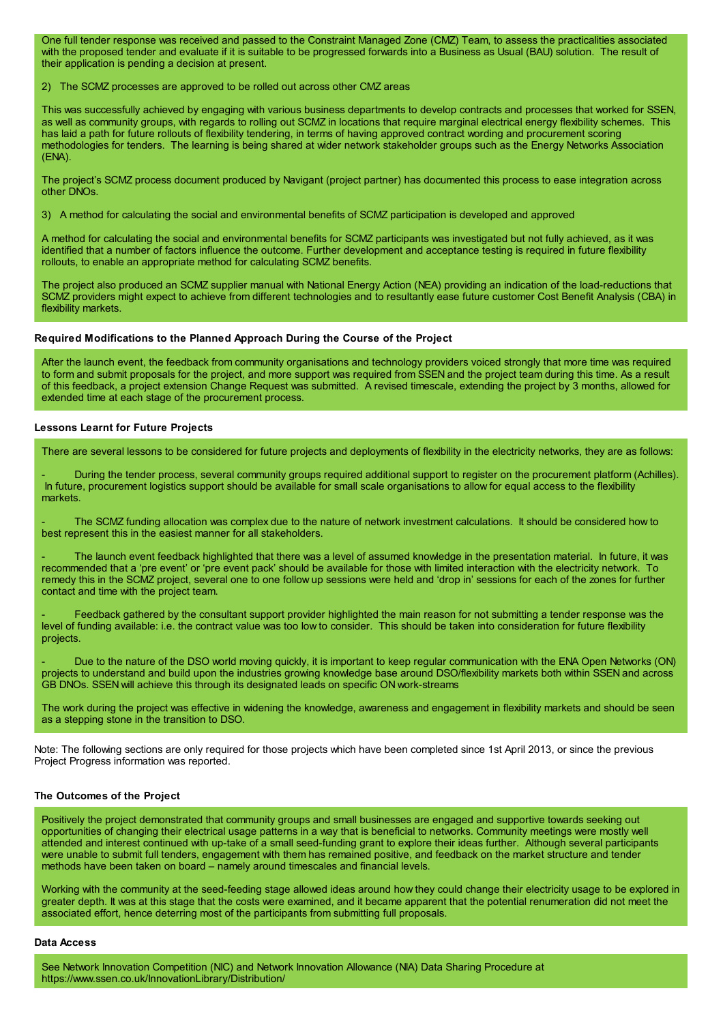One full tender response was received and passed to the Constraint Managed Zone (CMZ) Team, to assess the practicalities associated with the proposed tender and evaluate if it is suitable to be progressed forwards into a Business as Usual (BAU) solution. The result of their application is pending a decision at present.

2) The SCMZ processes are approved to be rolled out across other CMZ areas

This was successfully achieved by engaging with various business departments to develop contracts and processes that worked for SSEN, as well as community groups, with regards to rolling out SCMZ in locations that require marginal electrical energy flexibility schemes. This has laid a path for future rollouts of flexibility tendering, in terms of having approved contract wording and procurement scoring methodologies for tenders. The learning is being shared at wider network stakeholder groups such as the Energy Networks Association (ENA).

The project's SCMZ process document produced by Navigant (project partner) has documented this process to ease integration across other DNOs.

3) A method for calculating the social and environmental benefits of SCMZ participation is developed and approved

A method for calculating the social and environmental benefits for SCMZ participants was investigated but not fully achieved, as it was identified that a number of factors influence the outcome. Further development and acceptance testing is required in future flexibility rollouts, to enable an appropriate method for calculating SCMZ benefits.

The project also produced an SCMZ supplier manual with National Energy Action (NEA) providing an indication of the load-reductions that SCMZ providers might expect to achieve from different technologies and to resultantly ease future customer Cost Benefit Analysis (CBA) in flexibility markets.

## **Required Modifications to the Planned Approach During the Course of the Project**

After the launch event, the feedback from community organisations and technology providers voiced strongly that more time was required to form and submit proposals for the project, and more support was required from SSEN and the project team during this time. As a result of this feedback, a project extension Change Request was submitted. A revised timescale, extending the project by 3 months, allowed for extended time at each stage of the procurement process.

#### **Lessons Learnt for Future Projects**

There are several lessons to be considered for future projects and deployments of flexibility in the electricity networks, they are as follows:

- During the tender process, several community groups required additional support to register on the procurement platform (Achilles). In future, procurement logistics support should be available for small scale organisations to allow for equal access to the flexibility markets.

The SCMZ funding allocation was complex due to the nature of network investment calculations. It should be considered how to best represent this in the easiest manner for all stakeholders.

The launch event feedback highlighted that there was a level of assumed knowledge in the presentation material. In future, it was recommended that a 'pre event' or 'pre event pack' should be available for those with limited interaction with the electricity network. To remedy this in the SCMZ project, several one to one follow up sessions were held and 'drop in' sessions for each of the zones for further contact and time with the project team.

Feedback gathered by the consultant support provider highlighted the main reason for not submitting a tender response was the level of funding available: i.e. the contract value was too low to consider. This should be taken into consideration for future flexibility projects.

Due to the nature of the DSO world moving quickly, it is important to keep regular communication with the ENA Open Networks (ON) projects to understand and build upon the industries growing knowledge base around DSO/flexibility markets both within SSEN and across GB DNOs. SSEN will achieve this through its designated leads on specific ON work-streams

The work during the project was effective in widening the knowledge, awareness and engagement in flexibility markets and should be seen as a stepping stone in the transition to DSO.

Note: The following sections are only required for those projects which have been completed since 1st April 2013, or since the previous Project Progress information was reported.

## **The Outcomes of the Project**

Positively the project demonstrated that community groups and small businesses are engaged and supportive towards seeking out opportunities of changing their electrical usage patterns in a way that is beneficial to networks. Community meetings were mostly well attended and interest continued with up-take of a small seed-funding grant to explore their ideas further. Although several participants were unable to submit full tenders, engagement with them has remained positive, and feedback on the market structure and tender methods have been taken on board – namely around timescales and financial levels.

Working with the community at the seed-feeding stage allowed ideas around how they could change their electricity usage to be explored in greater depth. It was at this stage that the costs were examined, and it became apparent that the potential renumeration did not meet the associated effort, hence deterring most of the participants from submitting full proposals.

#### **Data Access**

See Network Innovation Competition (NIC) and Network Innovation Allowance (NIA) Data Sharing Procedure at https://www.ssen.co.uk/InnovationLibrary/Distribution/